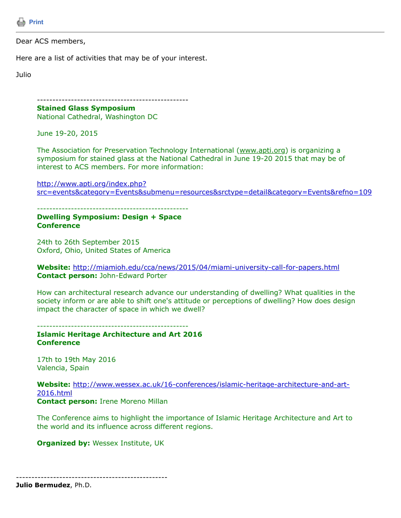

## Dear ACS members,

Here are a list of activities that may be of your interest.

Julio

------------------------------------------------- **Stained Glass Symposium**

National Cathedral, Washington DC

June 19-20, 2015

The Association for Preservation Technology International (www.apti.org) is organizing a symposium for stained glass at the National Cathedral in June 19-20 2015 that may be of interest to ACS members. For more information:

http://www.apti.org/index.php? [src=events&category=Events&submenu=resources&srctype=detail&category=Events&refno=109](http://www.apti.org/index.php?src=events&category=Events&submenu=resources&srctype=detail&category=Events&refno=109)

-------------------------------------------------

## **Dwelling Symposium: Design + Space Conference**

24th to 26th September 2015 Oxford, Ohio, United States of America

**Website:** <http://miamioh.edu/cca/news/2015/04/miami-university-call-for-papers.html> **Contact person:** John-Edward Porter

How can architectural research advance our understanding of dwelling? What qualities in the society inform or are able to shift one's attitude or perceptions of dwelling? How does design impact the character of space in which we dwell?

------------------------------------------------- **Islamic Heritage Architecture and Art 2016**

**Conference**

17th to 19th May 2016 Valencia, Spain

**Website:** [http://www.wessex.ac.uk/16-conferences/islamic-heritage-architecture-and-art-](http://www.wessex.ac.uk/16-conferences/islamic-heritage-architecture-and-art-2016.html)2016.html **Contact person:** Irene Moreno Millan

The Conference aims to highlight the importance of Islamic Heritage Architecture and Art to the world and its influence across different regions.

**Organized by: Wessex Institute, UK** 

**Julio Bermudez**, Ph.D.